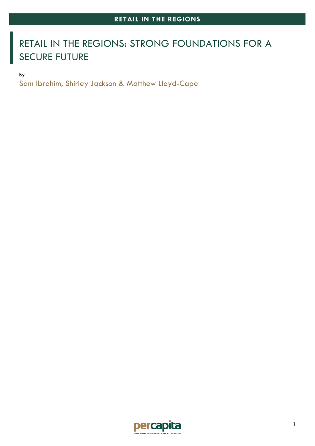# RETAIL IN THE REGIONS: STRONG FOUNDATIONS FOR A SECURE FUTURE

By

Sam Ibrahim, Shirley Jackson & Matthew Lloyd-Cape

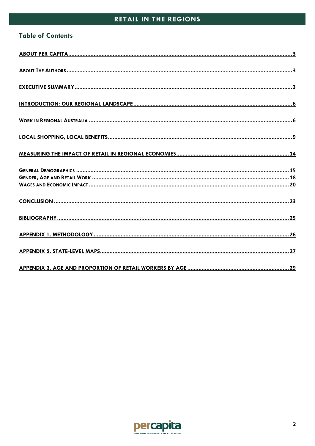## **Table of Contents**

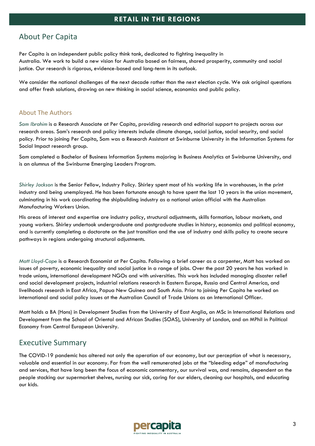## <span id="page-2-0"></span>About Per Capita

Per Capita is an independent public policy think tank, dedicated to fighting inequality in Australia. We work to build a new vision for Australia based on fairness, shared prosperity, community and social justice. Our research is rigorous, evidence-based and long-term in its outlook.

We consider the national challenges of the next decade rather than the next election cycle. We ask original questions and offer fresh solutions, drawing on new thinking in social science, economics and public policy.

#### <span id="page-2-1"></span>About The Authors

*Sam Ibrahim* is a Research Associate at Per Capita, providing research and editorial support to projects across our research areas. Sam's research and policy interests include climate change, social justice, social security, and social policy. Prior to joining Per Capita, Sam was a Research Assistant at Swinburne University in the Information Systems for Social Impact research group.

Sam completed a Bachelor of Business Information Systems majoring in Business Analytics at Swinburne University, and is an alumnus of the Swinburne Emerging Leaders Program.

*Shirley Jackson* is the Senior Fellow, Industry Policy. Shirley spent most of his working life in warehouses, in the print industry and being unemployed. He has been fortunate enough to have spent the last 10 years in the union movement, culminating in his work coordinating the shipbuilding industry as a national union official with the Australian Manufacturing Workers Union.

His areas of interest and expertise are industry policy, structural adjustments, skills formation, labour markets, and young workers. Shirley undertook undergraduate and postgraduate studies in history, economics and political economy, and is currently completing a doctorate on the just transition and the use of industry and skills policy to create secure pathways in regions undergoing structural adjustments.

*Matt Lloyd-Cape* is a Research Economist at Per Capita. Following a brief career as a carpenter, Matt has worked on issues of poverty, economic inequality and social justice in a range of jobs. Over the past 20 years he has worked in trade unions, international development NGOs and with universities. This work has included managing disaster relief and social development projects, industrial relations research in Eastern Europe, Russia and Central America, and livelihoods research in East Africa, Papua New Guinea and South Asia. Prior to joining Per Capita he worked on international and social policy issues at the Australian Council of Trade Unions as an International Officer.

Matt holds a BA (Hons) in Development Studies from the University of East Anglia, an MSc in International Relations and Development from the School of Oriental and African Studies (SOAS), University of London, and an MPhil in Political Economy from Central European University.

## <span id="page-2-2"></span>Executive Summary

The COVID-19 pandemic has altered not only the operation of our economy, but our perception of what is necessary, valuable and essential in our economy. Far from the well remunerated jobs at the "bleeding edge" of manufacturing and services, that have long been the focus of economic commentary, our survival was, and remains, dependent on the people stacking our supermarket shelves, nursing our sick, caring for our elders, cleaning our hospitals, and educating our kids.

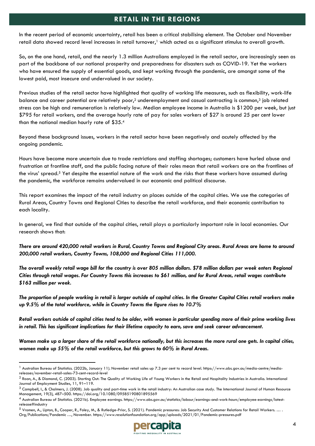In the recent period of economic uncertainty, retail has been a critical stabilising element. The October and November retail data showed record level increases in retail turnover,<sup>1</sup> which acted as a significant stimulus to overall growth.

So, on the one hand, retail, and the nearly 1.3 million Australians employed in the retail sector, are increasingly seen as part of the backbone of our national prosperity and preparedness for disasters such as COVID-19. Yet the workers who have ensured the supply of essential goods, and kept working through the pandemic, are amongst some of the lowest paid, most insecure and undervalued in our society.

Previous studies of the retail sector have highlighted that quality of working life measures, such as flexibility, work-life balance and career potential are relatively poor, $^2$  underemployment and casual contracting is common, $^3$  job related stress can be high and remuneration is relatively low. Median employee income in Australia is \$1200 per week, but just \$795 for retail workers, and the average hourly rate of pay for sales workers of \$27 is around 25 per cent lower than the national median hourly rate of \$35.<sup>4</sup>

Beyond these background issues, workers in the retail sector have been negatively and acutely affected by the ongoing pandemic.

Hours have become more uncertain due to trade restrictions and staffing shortages; customers have hurled abuse and frustration at frontline staff, and the public facing nature of their roles mean that retail workers are on the frontlines of the virus' spread.<sup>5</sup> Yet despite the essential nature of the work and the risks that these workers have assumed during the pandemic, the workforce remains undervalued in our economic and political discourse.

This report examines the impact of the retail industry on places outside of the capital cities. We use the categories of Rural Areas, Country Towns and Regional Cities to describe the retail workforce, and their economic contribution to each locality.

In general, we find that outside of the capital cities, retail plays a particularly important role in local economies. Our research shows that:

*There are around 420,000 retail workers in Rural, Country Towns and Regional City areas. Rural Areas are home to around 200,000 retail workers, Country Towns, 108,000 and Regional Cities 111,000.*

*The overall weekly retail wage bill for the country is over 805 million dollars. \$78 million dollars per week enters Regional Cities through retail wages. For Country Towns this increases to \$61 million, and for Rural Areas, retail wages contribute \$163 million per week.* 

*The proportion of people working in retail is larger outside of capital cities. In the Greater Capital Cities retail workers make up 9.5% of the total workforce, while in Country Towns the figure rises to 10.7%*

*Retail workers outside of capital cities tend to be older, with women in particular spending more of their prime working lives in retail. This has significant implications for their lifetime capacity to earn, save and seek career advancement.*

*Women make up a larger share of the retail workforce nationally, but this increases the more rural one gets. In capital cities, women make up 55% of the retail workforce, but this grows to 60% in Rural Areas.* 

<sup>5</sup> Vromen, A., Lipton, B., Cooper, R., Foley, M., & Rutledge-Prior, S. (2021). Pandemic pressures: Job Security And Customer Relations for Retail Workers. … . Org/Publications/Pandemic …, November. https://www.resolutionfoundation.org/app/uploads/2021/01/Pandemic-pressures.pdf



 $1$  Australian Bureau of Statistics. (2022b, January 11). November retail sales up 7.3 per cent to record level. https://www.abs.gov.au/media-centre/mediareleases/november-retail-sales-73-cent-record-level

 $^2$  Roan, A., & Diamond, C. (2003). Starting Out: The Quality of Working Life of Young Workers in the Retail and Hospitality Industries in Australia. International Journal of Employment Studies, 11, 91–119.

 $3$  Campbell, I., & Chalmers, J. (2008). Job quality and part-time work in the retail industry: An Australian case study. The International Journal of Human Resource Management, 19(3), 487–500. https://doi.org/10.1080/09585190801895569

<sup>4</sup> Australian Bureau of Statistics. (2021b). Employee earnings. https://www.abs.gov.au/statistics/labour/earnings-and-work-hours/employee-earnings/latestrelease#industry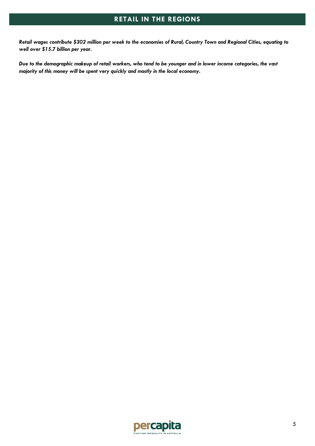*Retail wages contribute \$302 million per week to the economies of Rural, Country Town and Regional Cities, equating to well over \$15.7 billion per year.* 

*Due to the demographic makeup of retail workers, who tend to be younger and in lower income categories, the vast majority of this money will be spent very quickly and mostly in the local economy.* 

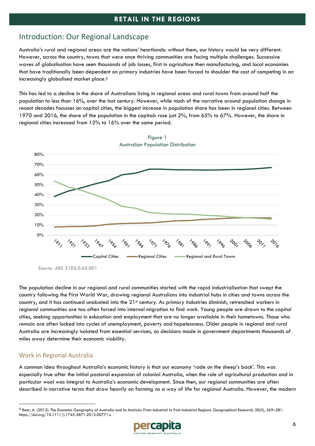## <span id="page-5-0"></span>Introduction: Our Regional Landscape

Australia's rural and regional areas are the nations' heartlands: without them, our history would be very different. However, across the country, towns that were once thriving communities are facing multiple challenges. Successive waves of globalisation have seen thousands of job losses, first in agriculture then manufacturing, and local economies that have traditionally been dependent on primary industries have been forced to shoulder the cost of competing in an increasingly globalised market place. 6

This has led to a decline in the share of Australians living in regional areas and rural towns from around half the population to less than 16%, over the last century. However, while much of the narrative around population change in recent decades focusses on capital cities, the biggest increase in population share has been in regional cities. Between 1970 and 2016, the share of the population in the capitals rose just 2%, from 65% to 67%. However, the share in regional cities increased from 12% to 16% over the same period.



Figure 1 Australian Population Distribution

*Source: ABS 3105.0.65.001*

The population decline in our regional and rural communities started with the rapid industrialisation that swept the country following the First World War, drawing regional Australians into industrial hubs in cities and towns across the country, and it has continued unabated into the 21st century. As primary industries diminish, retrenched workers in regional communities are too often forced into internal migration to find work. Young people are drawn to the capital cities, seeking opportunities in education and employment that are no longer available in their hometowns. Those who remain are often locked into cycles of unemployment, poverty and hopelessness. Older people in regional and rural Australia are increasingly isolated from essential services, as decisions made in government departments thousands of miles away determine their economic viability.

#### <span id="page-5-1"></span>Work in Regional Australia

A common idea throughout Australia's economic history is that our economy 'rode on the sheep's back'. This was especially true after the initial pastoral expansion of colonial Australia, when the role of agricultural production and in particular wool was integral to Australia's economic development. Since then, our regional communities are often described in narrative terms that draw heavily on farming as a way of life for regional Australia. However, the modern

<sup>&</sup>lt;sup>6</sup> Beer, A. (2012). The Economic Geography of Australia and Its Analysis: From Industrial to Post-Industrial Regions. Geographical Research, 50(3), 269-281. https://doi.org/10.1111/j.1745-5871.2012.00771.x

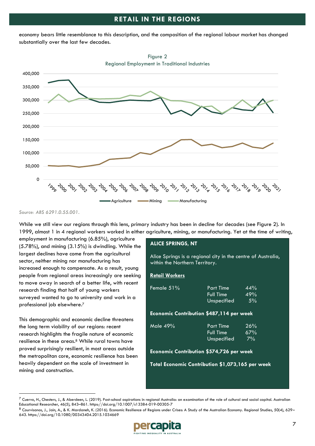economy bears little resemblance to this description, and the composition of the regional labour market has changed substantially over the last few decades.





*Source: ABS 6291.0.55.001.*

While we still view our regions through this lens, primary industry has been in decline for decades (see Figure 2). In 1999, almost 1 in 4 regional workers worked in either agriculture, mining, or manufacturing. Yet at the time of writing,

employment in manufacturing (6.85%), agriculture (5.78%), and mining (3.15%) is dwindling. While the largest declines have come from the agricultural sector, neither mining nor manufacturing has increased enough to compensate. As a result, young people from regional areas increasingly are seeking to move away in search of a better life, with recent research finding that half of young workers surveyed wanted to go to university and work in a professional job elsewhere. 7

This demographic and economic decline threatens the long term viability of our regions: recent research highlights the fragile nature of economic resilience in these areas.<sup>8</sup> While rural towns have proved surprisingly resilient, in most areas outside the metropolitan core, economic resilience has been heavily dependent on the scale of investment in mining and construction.

#### **ALICE SPRINGS, NT**

Alice Springs is a regional city in the centre of Australia, within the Northern Territory.

#### **Retail Workers**

| Female $51\%$                                    | <b>Part Time</b><br><b>Full Time</b> | 44%<br>49% |
|--------------------------------------------------|--------------------------------------|------------|
|                                                  | Unspecified                          | 5%         |
| <b>Economic Contribution \$487,114 per week</b>  |                                      |            |
| Male 49%                                         | <b>Part Time</b>                     | 26%        |
|                                                  | <b>Full Time</b>                     | 67%        |
|                                                  | Unspecified                          | $7\%$      |
| <b>Economic Contribution \$574,726 per week</b>  |                                      |            |
| Total Economic Contribution \$1,073,165 per week |                                      |            |

<sup>8</sup> Courvisanos, J., Jain, A., & K. Mardaneh, K. (2016). Economic Resilience of Regions under Crises: A Study of the Australian Economy. Regional Studies, 50(4), 629-643. https://doi.org/10.1080/00343404.2015.1034669



 $^7$  Cuervo, H., Chesters, J., & Aberdeen, L. (2019). Post-school aspirations in regional Australia: an examination of the role of cultural and social capital. Australian Educational Researcher, 46(5), 843–861. https://doi.org/10.1007/s13384-019-00305-7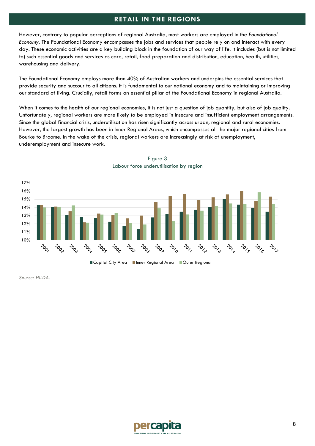However, contrary to popular perceptions of regional Australia, most workers are employed in the *Foundational Economy*. The Foundational Economy encompasses the jobs and services that people rely on and interact with every day. These economic activities are a key building block in the foundation of our way of life. It includes (but is not limited to) such essential goods and services as care, retail, food preparation and distribution, education, health, utilities, warehousing and delivery.

The Foundational Economy employs more than 40% of Australian workers and underpins the essential services that provide security and succour to all citizens. It is fundamental to our national economy and to maintaining or improving our standard of living. Crucially, retail forms an essential pillar of the Foundational Economy in regional Australia.

When it comes to the health of our regional economies, it is not just a question of job quantity, but also of job quality. Unfortunately, regional workers are more likely to be employed in insecure and insufficient employment arrangements. Since the global financial crisis, underutilisation has risen significantly across urban, regional and rural economies. However, the largest growth has been in Inner Regional Areas, which encompasses all the major regional cities from Bourke to Broome. In the wake of the crisis, regional workers are increasingly at risk of unemployment, underemployment and insecure work.





■ Capital City Area ■ Inner Regional Area ■ Outer Regional

*Source: HILDA.*

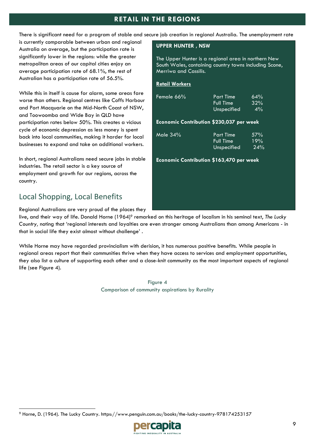There is significant need for a program of stable and secure job creation in regional Australia. The unemployment rate

is currently comparable between urban and regional Australia on average, but the participation rate is significantly lower in the regions: while the greater metropolitan areas of our capital cities enjoy an average participation rate of 68.1%, the rest of Australian has a participation rate of 56.5%.

While this in itself is cause for alarm, some areas fare worse than others. Regional centres like Coffs Harbour and Port Macquarie on the Mid-North Coast of NSW, and Toowoomba and Wide Bay in QLD have participation rates below 50%. This creates a vicious cycle of economic depression as less money is spent back into local communities, making it harder for local businesses to expand and take on additional workers.

In short, regional Australians need secure jobs in stable industries. The retail sector is a key source of employment and growth for our regions, across the country.

# <span id="page-8-0"></span>Local Shopping, Local Benefits

Regional Australians are very proud of the places they

live, and their way of life. Donald Horne (1964)<sup>9</sup> remarked on this heritage of localism in his seminal text, *The Lucky Country,* noting that 'regional interests and loyalties are even stronger among Australians than among Americans - in that in social life they exist almost without challenge' .

While Horne may have regarded provincialism with derision, it has numerous positive benefits. While people in regional areas report that their communities thrive when they have access to services and employment opportunities, they also list a culture of supporting each other and a close-knit community as the most important aspects of regional life (see Figure 4).

> Figure 4 Comparison of community aspirations by Rurality

<sup>9</sup> Horne, D. (1964). The Lucky Country. https://www.penguin.com.au/books/the-lucky-country-978174253157



#### **UPPER HUNTER , NSW**

The Upper Hunter is a regional area in northern New South Wales, containing country towns including Scone, Merriwa and Cassilis.

#### **Retail Workers**

| Female 66%                                      | <b>Part Time</b> | 64% |
|-------------------------------------------------|------------------|-----|
|                                                 | <b>Full Time</b> | 32% |
|                                                 | Unspecified      | 4%  |
| Economic Contribution \$230,037 per week        |                  |     |
| Male $34%$                                      | <b>Part Time</b> | 57% |
|                                                 | <b>Full Time</b> | 19% |
|                                                 | Unspecified      | 24% |
| <b>Economic Contribution \$163,470 per week</b> |                  |     |
|                                                 |                  |     |
|                                                 |                  |     |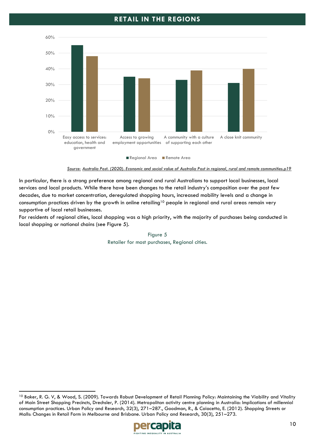



In particular, there is a strong preference among regional and rural Australians to support local businesses, local services and local products. While there have been changes to the retail industry's composition over the past few decades, due to market concentration, deregulated shopping hours, increased mobility levels and a change in consumption practices driven by the growth in online retailing<sup>10</sup> people in regional and rural areas remain very supportive of local retail businesses.

For residents of regional cities, local shopping was a high priority, with the majority of purchases being conducted in local shopping or national chains (see Figure 5).

Figure 5 Retailer for most purchases, Regional cities.

<sup>10</sup> Baker, R. G. V, & Wood, S. (2009). Towards Robust Development of Retail Planning Policy: Maintaining the Viability and Vitality of Main Street Shopping Precincts, Drechsler, P. (2014). Metropolitan activity centre planning in Australia: Implications of millennial consumption practices. Urban Policy and Research, 32(3), 271–287., Goodman, R., & Coiacetto, E. (2012). Shopping Streets or Malls: Changes in Retail Form in Melbourne and Brisbane. Urban Policy and Research, 30(3), 251–273.

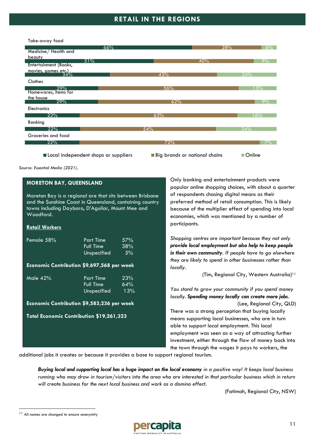#### Take-away food

|                              | 66% |     | 28% | $6\%$         |
|------------------------------|-----|-----|-----|---------------|
| Medicine/ Health and         |     |     |     |               |
| beauty                       | 51% |     |     |               |
| <b>Entertainment (Books,</b> |     |     | 40% | 9%            |
| movies, games etc.)<br>34%   |     |     |     |               |
|                              |     | 43% |     | 24%           |
| Clothes                      |     |     |     |               |
| 29%                          |     | 56% |     | 15%           |
| Homewares, items for         |     |     |     |               |
| the house<br>29%             |     | 62% |     | 9%            |
|                              |     |     |     |               |
| Electronics                  |     |     |     |               |
| 22%                          |     | 63% |     | 16%           |
| Banking                      |     |     |     |               |
| 22%                          |     | 54% |     | 24%           |
| Groceries and food           |     |     |     |               |
| 22%                          |     | 72% |     | 7% ·          |
|                              |     |     |     |               |
|                              |     |     |     | $\sim$ $\sim$ |

■ Local independent shops or suppliers ■ Big brands or national chains ■ Online

*Source: Essential Media (2021).*

#### **MORETON BAY, QUEENSLAND**

Moreton Bay is a regional are that sits between Brisbane and the Sunshine Coast in Queensland, containing country towns including Dayboro, D'Aguilar, Mount Mee and Woodford.

#### **Retail Workers**

| Female 58%                                 | <b>Part Time</b><br><b>Full Time</b><br>Unspecified | 57%<br>38%<br>5%  |
|--------------------------------------------|-----------------------------------------------------|-------------------|
| Economic Contribution \$9,697,568 per week |                                                     |                   |
| Male $42%$                                 | <b>Part Time</b><br><b>Full Time</b><br>Unspecified | 23%<br>64%<br>13% |
| Economic Contribution \$9,583,236 per week |                                                     |                   |
| Total Economic Contribution \$19,261,323   |                                                     |                   |

Only banking and entertainment products were popular online shopping choices, with about a quarter of respondents chasing digital means as their preferred method of retail consumption. This is likely because of the multiplier effect of spending into local economies, which was mentioned by a number of participants.

*Shopping centres are important because they not only provide local employment but also help to keep people in their own community. If people have to go elsewhere they are likely to spend in other businesses rather than locally.* 

(Tim, Regional City, Western Australia)<sup>11</sup>

*You stand to grow your community if you spend money locally. Spending money locally can create more jobs.*  (Lee, Regional City, QLD) There was a strong perception that buying locally means supporting local businesses, who are in turn able to support local employment. This local employment was seen as a way of attracting further investment, either through the flow of money back into the town through the wages it pays to workers, the

additional jobs it creates or because it provides a base to support regional tourism.

*Buying local and supporting local has a huge impact on the local economy in a positive way! It keeps local business running who may draw in tourism/visitors into the area who are interested in that particular business which in return will create business for the next local business and work as a domino effect.* 

(Fatimah, Regional City, NSW)



<sup>&</sup>lt;sup>11</sup> All names are changed to ensure anonymity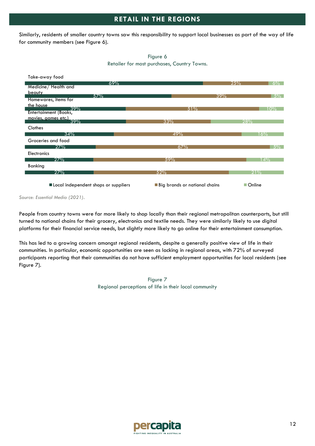Similarly, residents of smaller country towns saw this responsibility to support local businesses as part of the way of life for community members (see Figure 6).





Retailer for most purchases, Country Towns.

*Source: Essential Media (2021).*

People from country towns were far more likely to shop locally than their regional metropolitan counterparts, but still turned to national chains for their grocery, electronics and textile needs. They were similarly likely to use digital platforms for their financial service needs, but slightly more likely to go online for their entertainment consumption.

This has led to a growing concern amongst regional residents, despite a generally positive view of life in their communities. In particular, economic opportunities are seen as lacking in regional areas, with 72% of surveyed participants reporting that their communities do not have sufficient employment opportunities for local residents (see Figure 7).

> Figure 7 Regional perceptions of life in their local community

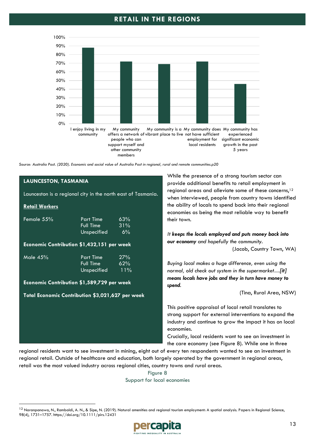

*Source: Australia Post. (2020). Economic and social value of Australia Post in regional, rural and remote communities.p20*

| <b>LAUNCESTON, TASMANIA</b> |                                                                                                                                     |                                                                    |
|-----------------------------|-------------------------------------------------------------------------------------------------------------------------------------|--------------------------------------------------------------------|
|                             | Launceston is a regional city in the north east of Tasmania.                                                                        |                                                                    |
| <b>Retail Workers</b>       |                                                                                                                                     |                                                                    |
| Female 55%                  | <b>Part Time</b><br><b>Full Time</b><br>Unspecified 6%                                                                              | 63%<br>31%                                                         |
|                             | Economic Contribution \$1,432,151 per week                                                                                          |                                                                    |
| Male 45%                    | <b>Part Time</b><br><b>Full Time</b><br>Unspecified 11%                                                                             | 27%<br>62%                                                         |
|                             | Economic Contribution \$1,589,729 per week                                                                                          |                                                                    |
|                             | Total Economic Contribution \$3,021,627 per week                                                                                    |                                                                    |
|                             |                                                                                                                                     |                                                                    |
|                             |                                                                                                                                     |                                                                    |
|                             |                                                                                                                                     |                                                                    |
|                             |                                                                                                                                     |                                                                    |
|                             | $\mathbf{r}$ and $\mathbf{r}$ and $\mathbf{r}$ and $\mathbf{r}$ and $\mathbf{r}$ and $\mathbf{r}$ and $\mathbf{r}$ and $\mathbf{r}$ | egional residents want to see investment in mining, eight out of e |

While the presence of a strong tourism sector can provide additional benefits to retail employment in regional areas and alleviate some of these concerns,<sup>12</sup> when interviewed, people from country towns identified the ability of locals to spend back into their regional economies as being the most reliable way to benefit their town.

*It keeps the locals employed and puts money back into our economy and hopefully the community.*  (Jacob, Country Town, WA)

*Buying local makes a huge difference, even using the normal, old check out system in the supermarket…[it] means locals have jobs and they in turn have money to spend.* 

(Tina, Rural Area, NSW)

This positive appraisal of local retail translates to strong support for external interventions to expand the industry and continue to grow the impact it has on local economies.

Crucially, local residents want to see an investment in the care economy (see Figure 8). While one in three

every ten respondents wanted to see an investment in regional retail. Outside of healthcare and education, both largely operated by the government in regional areas, retail was the most valued industry across regional cities, country towns and rural areas.

> Figure 8 Support for local economies

<sup>&</sup>lt;sup>12</sup> Naranpanawa, N., Rambaldi, A. N., & Sipe, N. (2019). Natural amenities and regional tourism employment: A spatial analysis. Papers in Regional Science, 98(4), 1731–1757. https://doi.org/10.1111/pirs.12431

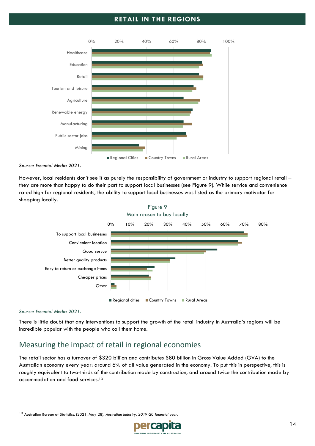

*Source: Essential Media 2021.*

However, local residents don't see it as purely the responsibility of government or industry to support regional retail – they are more than happy to do their part to support local businesses (see Figure 9). While service and convenience rated high for regional residents, the ability to support local businesses was listed as the primary motivator for shopping locally.



#### *Source: Essential Media 2021.*

There is little doubt that any interventions to support the growth of the retail industry in Australia's regions will be incredible popular with the people who call them home.

## <span id="page-13-0"></span>Measuring the impact of retail in regional economies

The retail sector has a turnover of \$320 billion and contributes \$80 billion in Gross Value Added (GVA) to the Australian economy every year: around 6% of all value generated in the economy. To put this in perspective, this is roughly equivalent to two-thirds of the contribution made by construction, and around twice the contribution made by accommodation and food services. 13

<sup>13</sup> Australian Bureau of Statistics. (2021, May 28). *Australian Industry, 2019-20 financial year*.

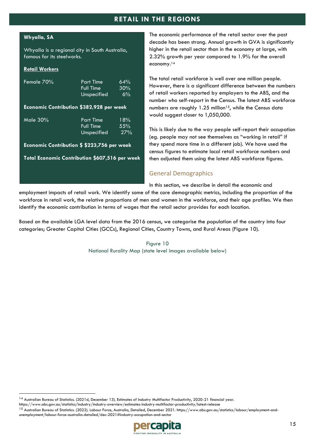#### **Whyalla, SA**

Whyalla is a regional city in South Australia, famous for its steelworks.

#### **Retail Workers**

| Female 70%                                      | <b>Part Time</b> | 64% |
|-------------------------------------------------|------------------|-----|
|                                                 | Full Time        | 30% |
|                                                 | Unspecified      | 6%  |
| <b>Economic Contribution \$382,928 per week</b> |                  |     |
| Male $30\%$                                     | <b>Part Time</b> | 18% |
|                                                 | <b>Full Time</b> | 55% |
|                                                 | Unspecified      | 27% |
| Economic Contribution \$ \$223,756 per week     |                  |     |
| Total Economic Contribution \$607,516 per week  |                  |     |
|                                                 |                  |     |
|                                                 |                  |     |
|                                                 |                  |     |

The economic performance of the retail sector over the past decade has been strong. Annual growth in GVA is significantly higher in the retail sector than in the economy at large, with 2.32% growth per year compared to 1.9% for the overall economy.<sup>14</sup>

The total retail workforce is well over one million people. However, there is a significant difference between the numbers of retail workers reported by employers to the ABS, and the number who self-report in the Census. The latest ABS workforce numbers are roughly 1.25 million<sup>15</sup>, while the Census data would suggest closer to 1,050,000.

This is likely due to the way people self-report their occupation (eg. people may not see themselves as "working in retail" if they spend more time in a different job). We have used the census figures to estimate local retail workforce numbers and then adjusted them using the latest ABS workforce figures.

#### <span id="page-14-0"></span>General Demographics

In this section, we describe in detail the economic and

employment impacts of retail work. We identify some of the core demographic metrics, including the proportion of the workforce in retail work, the relative proportions of men and women in the workforce, and their age profiles. We then identify the economic contribution in terms of wages that the retail sector provides for each location.

Based on the available LGA level data from the 2016 census, we categorise the population of the country into four categories; Greater Capital Cities (GCCs), Regional Cities, Country Towns, and Rural Areas (Figure 10).

> Figure 10 National Rurality Map (state level images available below)

<sup>&</sup>lt;sup>15</sup> Australian Bureau of Statistics. (2022). Labour Force, Australia, Detailed, December 2021. https://www.abs.gov.au/statistics/labour/employment-andunemployment/labour-force-australia-detailed/dec-2021#industry-occupation-and-sector



<sup>14</sup> Australian Bureau of Statistics. (2021d, December 13). Estimates of Industry Multifactor Productivity, 2020-21 financial year.

https://www.abs.gov.au/statistics/industry/industry-overview/estimates-industry-multifactor-productivity/latest-release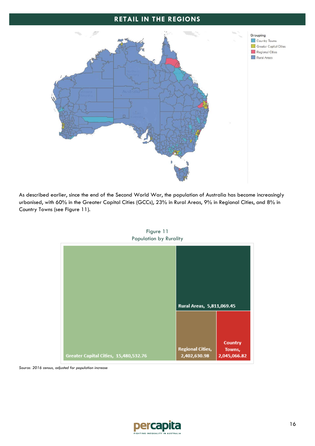

As described earlier, since the end of the Second World War, the population of Australia has become increasingly urbanised, with 60% in the Greater Capital Cities (GCCs), 23% in Rural Areas, 9% in Regional Cities, and 8% in Country Towns (see Figure 11).



Figure 11 Population by Rurality

*Source: 2016 census, adjusted for population increase*

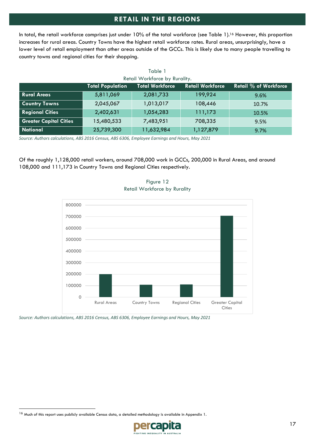In total, the retail workforce comprises just under 10% of the total workforce (see Table 1). <sup>16</sup> However, this proportion increases for rural areas. Country Towns have the highest retail workforce rates. Rural areas, unsurprisingly, have a lower level of retail employment than other areas outside of the GCCs. This is likely due to many people travelling to country towns and regional cities for their shopping.

| Table 1                       |                                                                                                              |                               |           |       |  |  |
|-------------------------------|--------------------------------------------------------------------------------------------------------------|-------------------------------|-----------|-------|--|--|
|                               |                                                                                                              | Retail Workforce by Rurality. |           |       |  |  |
|                               | <b>Retail % of Workforce</b><br><b>Total Workforce</b><br><b>Retail Workforce</b><br><b>Total Population</b> |                               |           |       |  |  |
| <b>Rural Areas</b>            | 5,811,069                                                                                                    | 2,081,733                     | 199,924   | 9.6%  |  |  |
| <b>Country Towns</b>          | 2,045,067                                                                                                    | 1,013,017                     | 108,446   | 10.7% |  |  |
| <b>Regional Cities</b>        | 2,402,631                                                                                                    | 1,054,283                     | 111,173   | 10.5% |  |  |
| <b>Greater Capital Cities</b> | 15,480,533                                                                                                   | 7,483,951                     | 708,335   | 9.5%  |  |  |
| <b>National</b>               | 25,739,300                                                                                                   | 11,632,984                    | 1,127,879 | 9.7%  |  |  |

*Source: Authors calculations, ABS 2016 Census, ABS 6306, Employee Earnings and Hours, May 2021*

Of the roughly 1,128,000 retail workers, around 708,000 work in GCCs, 200,000 in Rural Areas, and around 108,000 and 111,173 in Country Towns and Regional Cities respectively.



Figure 12 Retail Workforce by Rurality

*Source: Authors calculations, ABS 2016 Census, ABS 6306, Employee Earnings and Hours, May 2021*

<sup>&</sup>lt;sup>16</sup> Much of this report uses publicly available Census data, a detailed methodology is available in Appendix 1.

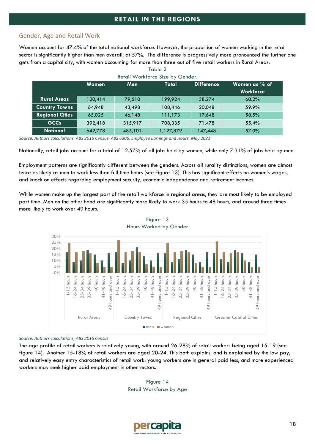### <span id="page-17-0"></span>Gender, Age and Retail Work

Women account for 47.4% of the total national workforce. However, the proportion of women working in the retail sector is significantly higher than men overall, at 57%. The difference is progressively more pronounced the further one gets from a capital city, with women accounting for more than three out of five retail workers in Rural Areas.

| Retail Workforce Size by Gender. |         |            |           |                   |                                   |
|----------------------------------|---------|------------|-----------|-------------------|-----------------------------------|
|                                  | Women   | <b>Men</b> | Total     | <b>Difference</b> | Women as % of<br><b>Workforce</b> |
| <b>Rural Areas</b>               | 120,414 | 79,510     | 199,924   | 38,274            | 60.2%                             |
| <b>Country Towns</b>             | 64,948  | 43,498     | 108,446   | 20,048            | 59.9%                             |
| <b>Regional Cities</b>           | 65,025  | 46,148     | 111,173   | 17,648            | 58.5%                             |
| <b>GCCs</b>                      | 392,418 | 315,917    | 708,335   | 71,478            | 55.4%                             |
| <b>National</b>                  | 642,778 | 485,101    | 1,127,879 | 147,448           | 57.0%                             |

Table 2

*Source: Authors calculations, ABS 2016 Census, ABS 6306, Employee Earnings and Hours, May 2021*

Nationally, retail jobs account for a total of 12.57% of all jobs held by women, while only 7.31% of jobs held by men.

Employment patterns are significantly different between the genders. Across all rurality distinctions, women are almost twice as likely as men to work less than full time hours (see Figure 13). This has significant effects on women's wages, and knock on effects regarding employment security, economic independence and retirement incomes.

While women make up the largest part of the retail workforce in regional areas, they are most likely to be employed part time. Men on the other hand are significantly more likely to work 35 hours to 48 hours, and around three times more likely to work over 49 hours.





*Source: Authors calculations, ABS 2016 Census*

The age profile of retail workers is relatively young, with around 26-28% of retail workers being aged 15-19 (see figure 14). Another 15-18% of retail workers are aged 20-24. This both explains, and is explained by the low pay, and relatively easy entry characteristics of retail work: young workers are in general paid less, and more experienced workers may seek higher paid employment in other sectors.

> Figure 14 Retail Workforce by Age

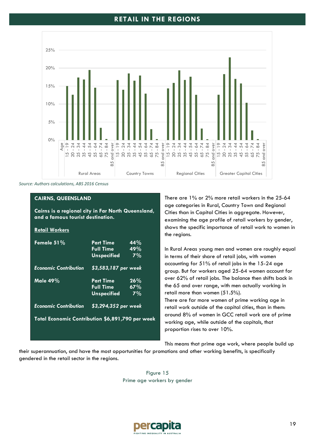

*Source: Authors calculations, ABS 2016 Census*

#### **CAIRNS, QUEENSLAND**

**Cairns is a regional city in Far North Queensland, and a famous tourist destination.**

#### **Retail Workers**

| Female 51%                                       | <b>Part Time</b>     | 44% |
|--------------------------------------------------|----------------------|-----|
|                                                  | <b>Full Time</b>     | 49% |
|                                                  | <b>Unspecified</b>   | 7%  |
| <b>Economic Contribution</b>                     | \$3,583,187 per week |     |
| <b>Male 49%</b>                                  | <b>Part Time</b>     | 26% |
|                                                  | <b>Full Time</b>     | 67% |
|                                                  | <b>Unspecified</b>   | 7%  |
| <b>Economic Contribution</b>                     | \$3,294,352 per week |     |
| Total Economic Contribution \$6,891,790 per week |                      |     |
|                                                  |                      |     |

There are 1% or 2% more retail workers in the 25-64 age categories in Rural, Country Town and Regional Cities than in Capital Cities in aggregate. However, examining the age profile of retail workers by gender, shows the specific importance of retail work to women in the regions.

In Rural Areas young men and women are roughly equal in terms of their share of retail jobs, with women accounting for 51% of retail jobs in the 15-24 age group. But for workers aged 25-64 women account for over 62% of retail jobs. The balance then shifts back in the 65 and over range, with men actually working in retail more than women (51.5%).

There are far more women of prime working age in retail work outside of the capital cities, than in them: around 8% of women in GCC retail work are of prime working age, while outside of the capitals, that proportion rises to over 10%.

This means that prime age work, where people build up

their superannuation, and have the most opportunities for promotions and other working benefits, is specifically gendered in the retail sector in the regions.

> Figure 15 Prime age workers by gender

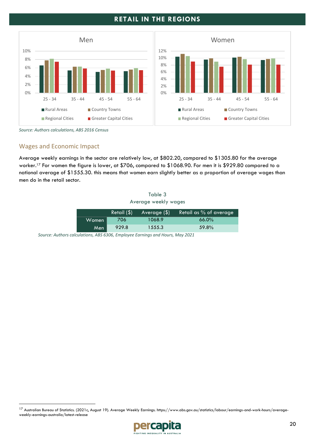

*Source: Authors calculations, ABS 2016 Census* 

#### <span id="page-19-0"></span>Wages and Economic Impact

Average weekly earnings in the sector are relatively low, at \$802.20, compared to \$1305.80 for the average worker.<sup>17</sup> For women the figure is lower, at \$706, compared to \$1068.90. For men it is \$929.80 compared to a national average of \$1555.30. this means that women earn slightly better as a proportion of average wages than men do in the retail sector.

| Average weekly wages |                |              |                        |  |
|----------------------|----------------|--------------|------------------------|--|
|                      | Retail $($ \$) | Average (\$) | Retail as % of average |  |
| Women                | 706            | 1068.9       | 66.0%                  |  |
| Men                  | 929.8          | 1555.3       | 59.8%                  |  |

Table 3

*Source: Authors calculations, ABS 6306, Employee Earnings and Hours, May 2021*

<sup>17</sup> Australian Bureau of Statistics. (2021c, August 19). Average Weekly Earnings. https://www.abs.gov.au/statistics/labour/earnings-and-work-hours/averageweekly-earnings-australia/latest-release

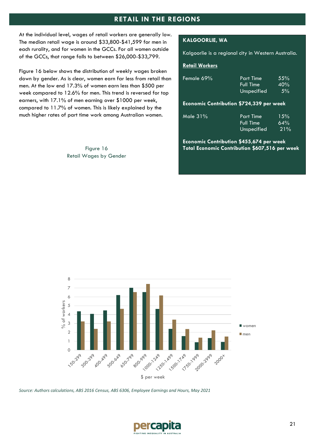At the individual level, wages of retail workers are generally low. The median retail wage is around \$33,800-\$41,599 for men in each rurality, and for women in the GCCs. For all women outside of the GCCs, that range falls to between \$26,000-\$33,799.

Figure 16 below shows the distribution of weekly wages broken down by gender. As is clear, women earn far less from retail than men. At the low end 17.3% of women earn less than \$500 per week compared to 12.6% for men. This trend is reversed for top earners, with 17.1% of men earning over \$1000 per week, compared to 11.7% of women. This is likely explained by the much higher rates of part time work among Australian women.

> Figure 16 Retail Wages by Gender

#### **KALGOORLIE, WA**

Kalgoorlie is a regional city in Western Australia.

#### **Retail Workers**

| Female 69% | <b>Part Time</b> | $55\%$ |
|------------|------------------|--------|
|            | <b>Full Time</b> | 40%    |
|            | Unspecified      | 5%     |

#### **Economic Contribution \$724,339 per week**

| Male $31\%$ | <b>Part Time</b> | 15% |
|-------------|------------------|-----|
|             | Full Time        | 64% |
|             | Unspecified      | 21% |

**Economic Contribution \$455,674 per week Total Economic Contribution \$607,516 per week**



*Source: Authors calculations, ABS 2016 Census, ABS 6306, Employee Earnings and Hours, May 2021*

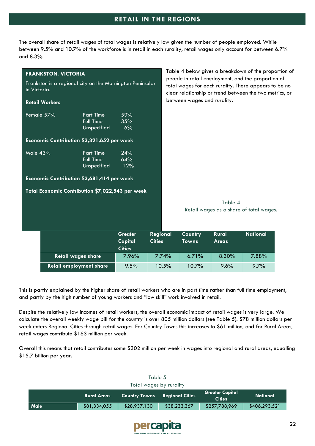The overall share of retail wages of total wages is relatively low given the number of people employed. While between 9.5% and 10.7% of the workforce is in retail in each rurality, retail wages only account for between 6.7% and 8.3%.

|                                                                           | <b>FRANKSTON, VICTORIA</b>                          |                                            |                           |                                                                                                                                                                        |                       | Table 4 below gives a breakdown of the proportion of |  |  |
|---------------------------------------------------------------------------|-----------------------------------------------------|--------------------------------------------|---------------------------|------------------------------------------------------------------------------------------------------------------------------------------------------------------------|-----------------------|------------------------------------------------------|--|--|
| Frankston is a regional city on the Mornington Peninsular<br>in Victoria. |                                                     |                                            |                           | people in retail employment, and the proportion of<br>total wages for each rurality. There appears to be no<br>clear relationship or trend between the two metrics, or |                       |                                                      |  |  |
| <b>Retail Workers</b>                                                     |                                                     |                                            |                           | between wages and rurality.                                                                                                                                            |                       |                                                      |  |  |
| Female 57%                                                                | <b>Part Time</b><br><b>Full Time</b><br>Unspecified | 59%<br>35%<br>6%                           |                           |                                                                                                                                                                        |                       |                                                      |  |  |
|                                                                           | Economic Contribution \$3,321,652 per week          |                                            |                           |                                                                                                                                                                        |                       |                                                      |  |  |
| Male 43%                                                                  | <b>Part Time</b><br><b>Full Time</b><br>Unspecified | 24%<br>64%<br>12%                          |                           |                                                                                                                                                                        |                       |                                                      |  |  |
|                                                                           | Economic Contribution \$3,681,414 per week          |                                            |                           |                                                                                                                                                                        |                       |                                                      |  |  |
|                                                                           | Total Economic Contribution \$7,022,543 per week    |                                            |                           |                                                                                                                                                                        |                       |                                                      |  |  |
|                                                                           |                                                     |                                            |                           |                                                                                                                                                                        | Table 4               | Retail wages as a share of total wages.              |  |  |
|                                                                           |                                                     | <b>Greater</b><br>Capital<br><b>Cities</b> | Regional<br><b>Cities</b> | Country<br><b>Towns</b>                                                                                                                                                | Rural<br><b>Areas</b> | <b>National</b>                                      |  |  |
|                                                                           | <b>Retail wages share</b>                           | 7.96%                                      | 7.74%                     | 6.71%                                                                                                                                                                  | 8.30%                 | 7.88%                                                |  |  |
|                                                                           | <b>Retail employment share</b>                      | 9.5%                                       | 10.5%                     | 10.7%                                                                                                                                                                  | 9.6%                  | 9.7%                                                 |  |  |

This is partly explained by the higher share of retail workers who are in part time rather than full time employment, and partly by the high number of young workers and "low skill" work involved in retail.

Despite the relatively low incomes of retail workers, the overall economic impact of retail wages is very large. We calculate the overall weekly wage bill for the country is over 805 million dollars (see Table 5). \$78 million dollars per week enters Regional Cities through retail wages. For Country Towns this increases to \$61 million, and for Rural Areas, retail wages contribute \$163 million per week.

Overall this means that retail contributes some \$302 million per week in wages into regional and rural areas, equalling \$15.7 billion per year.

| Table 5                 |                    |                      |                        |                                         |                 |
|-------------------------|--------------------|----------------------|------------------------|-----------------------------------------|-----------------|
| Total wages by rurality |                    |                      |                        |                                         |                 |
|                         | <b>Rural Areas</b> | <b>Country Towns</b> | <b>Regional Cities</b> | <b>Greater Capital</b><br><b>Cities</b> | <b>National</b> |
| <b>Male</b>             | \$81,334,055       | \$28,937,130         | \$38,233,367           | \$257,788,969                           | \$406,293,521   |

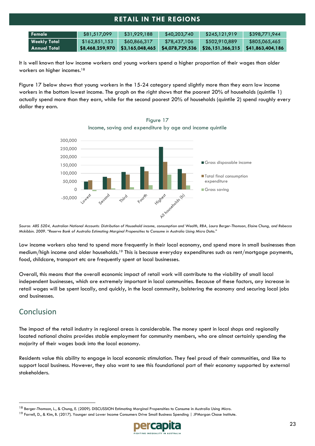| Female              | \$81,517,099    | \$31,929,188    | \$40,203,740    | \$245,121,919                       | \$398,771,944 |
|---------------------|-----------------|-----------------|-----------------|-------------------------------------|---------------|
| <b>Weekly Total</b> | \$162,851,153   | \$60,866,317    | \$78,437,106    | \$502,910,889                       | \$805,065,465 |
| - Annual Total      | \$8,468,259,970 | \$3,165,048,465 | \$4,078,729,536 | $$26,151,366,215$ $$41,863,404,186$ |               |

It is well known that low income workers and young workers spend a higher proportion of their wages than older workers on higher incomes. 18

Figure 17 below shows that young workers in the 15-24 category spend slightly more than they earn low income workers in the bottom lowest income. The graph on the right shows that the poorest 20% of households (quintile 1) actually spend more than they earn, while for the second poorest 20% of households (quintile 2) spend roughly every dollar they earn.



Figure 17 Income, saving and expenditure by age and income quintile

*Source: ABS 5204, Australian National Accounts: Distribution of Household income, consumption and Wealth, RBA, Laura Berger-Thomson, Elaine Chung, and Rebecca Mckibbin. 2009. "Reserve Bank of Australia Estimating Marginal Propensities to Consume in Australia Using Micro Data."*

Low income workers also tend to spend more frequently in their local economy, and spend more in small businesses than medium/high income and older households.<sup>19</sup> This is because everyday expenditures such as rent/mortgage payments, food, childcare, transport etc are frequently spent at local businesses.

Overall, this means that the overall economic impact of retail work will contribute to the viability of small local independent businesses, which are extremely important in local communities. Because of these factors, any increase in retail wages will be spent locally, and quickly, in the local community, bolstering the economy and securing local jobs and businesses.

## <span id="page-22-0"></span>Conclusion

The impact of the retail industry in regional areas is considerable. The money spent in local shops and regionally located national chains provides stable employment for community members, who are almost certainly spending the majority of their wages back into the local economy.

Residents value this ability to engage in local economic stimulation. They feel proud of their communities, and like to support local business. However, they also want to see this foundational part of their economy supported by external stakeholders.

<sup>&</sup>lt;sup>19</sup> Farrell, D., & Kim, B. (2017). Younger and Lower Income Consumers Drive Small Business Spending | JPMorgan Chase Institute.



<sup>18</sup> Berger-Thomson, L., & Chung, E. (2009). DISCUSSION Estimating Marginal Propensities to Consume in Australia Using Micro.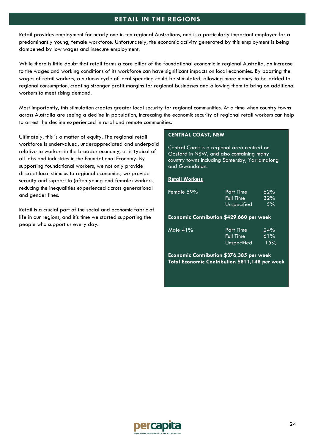Retail provides employment for nearly one in ten regional Australians, and is a particularly important employer for a predominantly young, female workforce. Unfortunately, the economic activity generated by this employment is being dampened by low wages and insecure employment.

While there is little doubt that retail forms a core pillar of the foundational economic in regional Australia, an increase to the wages and working conditions of its workforce can have significant impacts on local economies. By boosting the wages of retail workers, a virtuous cycle of local spending could be stimulated, allowing more money to be added to regional consumption, creating stronger profit margins for regional businesses and allowing them to bring on additional workers to meet rising demand.

Most importantly, this stimulation creates greater local security for regional communities. At a time when country towns across Australia are seeing a decline in population, increasing the economic security of regional retail workers can help to arrest the decline experienced in rural and remote communities.

Ultimately, this is a matter of equity. The regional retail workforce is undervalued, underappreciated and underpaid relative to workers in the broader economy, as is typical of all jobs and industries in the Foundational Economy. By supporting foundational workers, we not only provide discreet local stimulus to regional economies, we provide security and support to (often young and female) workers, reducing the inequalities experienced across generational and gender lines.

Retail is a crucial part of the social and economic fabric of life in our regions, and it's time we started supporting the people who support us every day.

#### **CENTRAL COAST, NSW**

Central Coast is a regional area centred on Gosford in NSW, and also containing many country towns including Somersby, Yarramalong and Gwandalan.

#### **Retail Workers**

| Female 59%                               | <b>Part Time</b><br><b>Full Time</b><br>Unspecified | 62%<br>32%<br>5% |  |  |
|------------------------------------------|-----------------------------------------------------|------------------|--|--|
| Economic Contribution \$429,660 per week |                                                     |                  |  |  |
| Male $41%$                               | <b>Part Time</b><br><b>Full Time</b>                | 24%<br>61%       |  |  |
|                                          | Unspecified                                         | 15%              |  |  |

**Economic Contribution \$376,385 per week Total Economic Contribution \$811,148 per week**

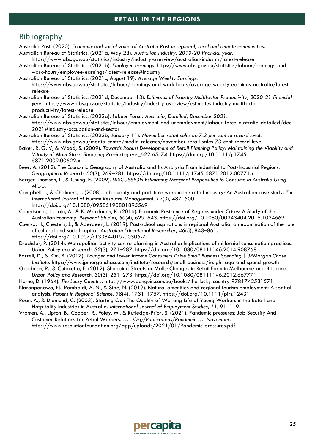## <span id="page-24-0"></span>Bibliography

- Australia Post. (2020). *Economic and social value of Australia Post in regional, rural and remote communities*. Australian Bureau of Statistics. (2021a, May 28). *Australian Industry, 2019-20 financial year*.
- https://www.abs.gov.au/statistics/industry/industry-overview/australian-industry/latest-release
- Australian Bureau of Statistics. (2021b). *Employee earnings*. https://www.abs.gov.au/statistics/labour/earnings-andwork-hours/employee-earnings/latest-release#industry
- Australian Bureau of Statistics. (2021c, August 19). *Average Weekly Earnings*. https://www.abs.gov.au/statistics/labour/earnings-and-work-hours/average-weekly-earnings-australia/latestrelease
- Australian Bureau of Statistics. (2021d, December 13). *Estimates of Industry Multifactor Productivity, 2020-21 financial year*. https://www.abs.gov.au/statistics/industry/industry-overview/estimates-industry-multifactorproductivity/latest-release
- Australian Bureau of Statistics. (2022a). *Labour Force, Australia, Detailed, December 2021*. https://www.abs.gov.au/statistics/labour/employment-and-unemployment/labour-force-australia-detailed/dec-2021#industry-occupation-and-sector
- Australian Bureau of Statistics. (2022b, January 11). *November retail sales up 7.3 per cent to record level*. https://www.abs.gov.au/media-centre/media-releases/november-retail-sales-73-cent-record-level
- Baker, R. G. V, & Wood, S. (2009). *Towards Robust Development of Retail Planning Policy: Maintaining the Viability and Vitality of Main Street Shopping Precinctsg eor\_622 65..74*. https://doi.org/10.1111/j.1745- 5871.2009.00622.x
- Beer, A. (2012). The Economic Geography of Australia and Its Analysis: From Industrial to Post-Industrial Regions. *Geographical Research*, *50*(3), 269–281. https://doi.org/10.1111/j.1745-5871.2012.00771.x
- Berger-Thomson, L., & Chung, E. (2009). *DISCUSSION Estimating Marginal Propensities to Consume in Australia Using Micro*.
- Campbell, I., & Chalmers, J. (2008). Job quality and part-time work in the retail industry: An Australian case study. *The International Journal of Human Resource Management*, *19*(3), 487–500. https://doi.org/10.1080/09585190801895569
- Courvisanos, J., Jain, A., & K. Mardaneh, K. (2016). Economic Resilience of Regions under Crises: A Study of the Australian Economy. *Regional Studies*, *50*(4), 629–643. https://doi.org/10.1080/00343404.2015.1034669
- Cuervo, H., Chesters, J., & Aberdeen, L. (2019). Post-school aspirations in regional Australia: an examination of the role of cultural and social capital. *Australian Educational Researcher*, *46*(5), 843–861. https://doi.org/10.1007/s13384-019-00305-7
- Drechsler, P. (2014). Metropolitan activity centre planning in Australia: Implications of millennial consumption practices. *Urban Policy and Research*, *32*(3), 271–287. https://doi.org/10.1080/08111146.2014.908768
- Farrell, D., & Kim, B. (2017). *Younger and Lower Income Consumers Drive Small Business Spending | JPMorgan Chase Institute*. https://www.jpmorganchase.com/institute/research/small-business/insight-age-and-spend-growth
- Goodman, R., & Coiacetto, E. (2012). Shopping Streets or Malls: Changes in Retail Form in Melbourne and Brisbane. *Urban Policy and Research*, *30*(3), 251–273. https://doi.org/10.1080/08111146.2012.667771
- Horne, D. (1964). *The Lucky Country*. https://www.penguin.com.au/books/the-lucky-country-9781742531571
- Naranpanawa, N., Rambaldi, A. N., & Sipe, N. (2019). Natural amenities and regional tourism employment: A spatial analysis. *Papers in Regional Science*, *98*(4), 1731–1757. https://doi.org/10.1111/pirs.12431
- Roan, A., & Diamond, C. (2003). Starting Out: The Quality of Working Life of Young Workers in the Retail and Hospitality Industries in Australia. *International Journal of Employment Studies*, *11*, 91–119.
- Vromen, A., Lipton, B., Cooper, R., Foley, M., & Rutledge-Prior, S. (2021). Pandemic pressures: Job Security And Customer Relations for Retail Workers. *… . Org/Publications/Pandemic …*, *November*. https://www.resolutionfoundation.org/app/uploads/2021/01/Pandemic-pressures.pdf

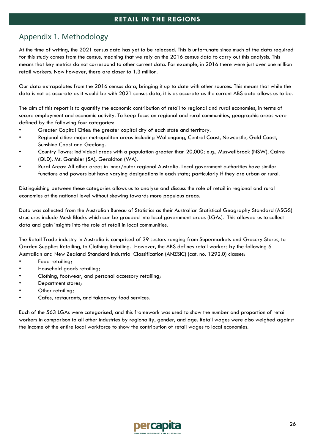# <span id="page-25-0"></span>Appendix 1. Methodology

At the time of writing, the 2021 census data has yet to be released. This is unfortunate since much of the data required for this study comes from the census, meaning that we rely on the 2016 census data to carry out this analysis. This means that key metrics do not correspond to other current data. For example, in 2016 there were just over one million retail workers. Now however, there are closer to 1.3 million.

Our data extrapolates from the 2016 census data, bringing it up to date with other sources. This means that while the data is not as accurate as it would be with 2021 census data, it is as accurate as the current ABS data allows us to be.

The aim of this report is to quantify the economic contribution of retail to regional and rural economies, in terms of secure employment and economic activity. To keep focus on regional and rural communities, geographic areas were defined by the following four categories:

- Greater Capital Cities: the greater capital city of each state and territory.
- Regional cities: major metropolitan areas including Wollongong, Central Coast, Newcastle, Gold Coast, Sunshine Coast and Geelong.
- Country Towns: individual areas with a population greater than 20,000; e.g., Muswellbrook (NSW), Cairns (QLD), Mt. Gambier (SA), Geraldton (WA).
- Rural Areas: All other areas in inner/outer regional Australia. Local government authorities have similar functions and powers but have varying designations in each state; particularly if they are urban or rural.

Distinguishing between these categories allows us to analyse and discuss the role of retail in regional and rural economies at the national level without skewing towards more populous areas.

Data was collected from the Australian Bureau of Statistics as their Australian Statistical Geography Standard (ASGS) structures include Mesh Blocks which can be grouped into local government areas (LGAs). This allowed us to collect data and gain insights into the role of retail in local communities.

The Retail Trade industry in Australia is comprised of 39 sectors ranging from Supermarkets and Grocery Stores, to Garden Supplies Retailing, to Clothing Retailing. However, the ABS defines retail workers by the following 6 Australian and New Zealand Standard Industrial Classification (ANZSIC) (cat. no. 1292.0) classes:

- Food retailing;
- Household goods retailing;
- Clothing, footwear, and personal accessory retailing;
- Department stores;
- Other retailing;
- Cafes, restaurants, and takeaway food services.

Each of the 563 LGAs were categorised, and this framework was used to show the number and proportion of retail workers in comparison to all other industries by regionality, gender, and age. Retail wages were also weighed against the income of the entire local workforce to show the contribution of retail wages to local economies.

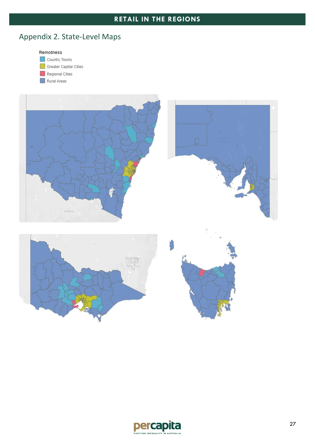# <span id="page-26-0"></span>Appendix 2. State-Level Maps









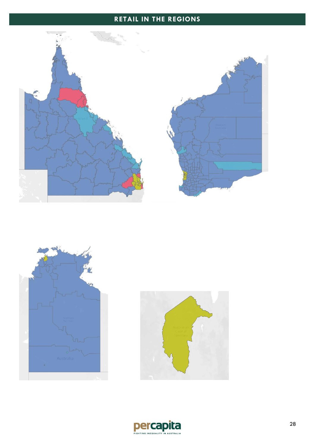